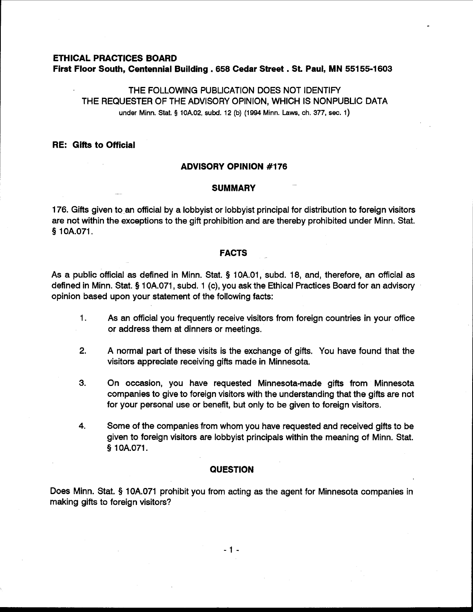## **ETHICAL PRACTICES BOARD First Floor South, Centennial Building** . **<sup>658</sup>Cedar Street** . **St. Paul, MN 551 55-1603**

THE FOLLOWING PUBLICATION DOES NOT IDENTIFY THE REQUESTER OF THE ADVISORY OPINION, WHICH IS NONPUBLIC DATA under Minn. Stat. **5** 10A.02, subd. 12 **(b)** (1994 Minn. Laws, ch. 377, sec. 1)

# **RE: Gifts to Official**

## **ADVISORY OPINION #I76**

#### **SUMMARY**

176. Gifts given to an official by a lobbyist or lobbyist principal for distribution to foreign visitors are not within the exceptions to the gift prohibition and are thereby prohibited under Minn. Stat. **9** 1 OA.071.

#### **FACTS**

As a public official as defined in Minn. Stat. **Q** 10A.O1, subd. 18, and, therefore, an official as defined in Minn. Stat. **Q** 10A.071, subd. 1 (c), you ask the Ethical Practices Board for an advisory opinion based upon your statement of the following facts:

- 1. As an official you frequently receive visitors from foreign countries in your office or address them at dinners or meetings.
- **2.** A normal part of these visits is the exchange of gifts. You have found that the visitors appreciate receiving gifts made in Minnesota.
- 3. On occasion, you have requested Minnesota-made gifts from Minnesota companies to give to foreign visitors with the understanding that the gifts are not for your personal use or benefit, but only to be given to foreign visitors.
- **4.** Some of the companies from whom you have requested and received gifts to be given to foreign visitors are lobbyist principals within the meaning of Minn. Stat. § 1 OA.071.

### **QUESTION**

Does Minn. Stat. **9** 10A.071 prohibit you from acting as the agent for Minnesota companies in making gifts to foreign visitors?

 $-1 -$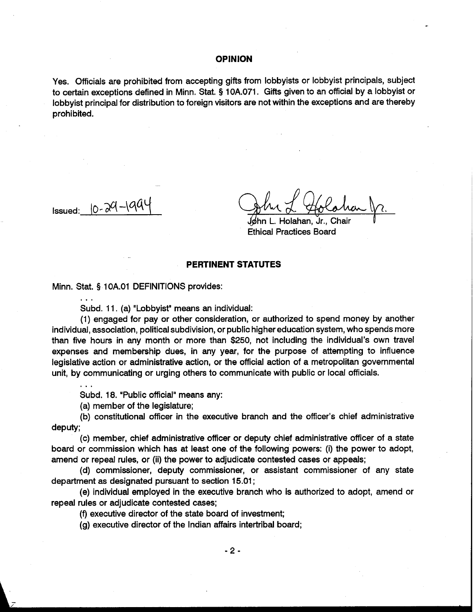### **OPINION**

Yes. Officials are prohibited from accepting gifts from lobbyists or lobbyist principals, subject to certain exceptions defined in Minn. Stat. **9** 10A.071. Gifts given to an official by a lobbyist or lobbyist principal for distribution to foreign visitors are not within the exceptions and are thereby prohibited.

...

løhn L. Holahan. Jr., Chair Ethical Practices Board

## **PERTINENT STATUTES**

Minn. Stat. **5** 1 OA.O1 DEFINITIONS provides:

Subd. 11. (a) "Lobbyist" means an individual:

**OPINION**<br> **COPINION**<br>
Yes. Officials are prohibited from accepting gifts from lobbyists or lobbyist principals, subject<br>
to certain exceptions defined in Minn. Stat. \$10A071. Gifts given to an official by a lobbyist or<br> (1) engaged for pay or other consideration, or authorized to spend money by another individual, association, political subdivision, or public higher education system, who spends more than five hours in any month or more than \$250, not including the individual's own travel expenses and membership dues, in any year, for the purpose of attempting to influence legislative action or administrative action, or the official action of a metropolitan governmental unit, by communicating or urging others to communicate with public or local officials.

Subd. 18. "Public official" means any:

(a) member of the legislature;

(b) constitutional officer in the executive branch and the officer's chief administrative deputy;

(c) member, chief administrative officer or deputy chief administrative officer of a state board or commission which has at least one of the following powers: (i) the power to adopt, amend or repeal rules, or (ii) the power to adjudicate contested cases or appeals;

(d) commissioner, deputy commissioner, or assistant commissioner of any state department as designated pursuant to section 15.01 ;

(e) individual employed in the executive branch who is authorized to adopt, amend or repeal rules or adjudicate contested cases;

(f) executive director of the state board of investment;

(g) executive director of the Indian affairs intertribal board;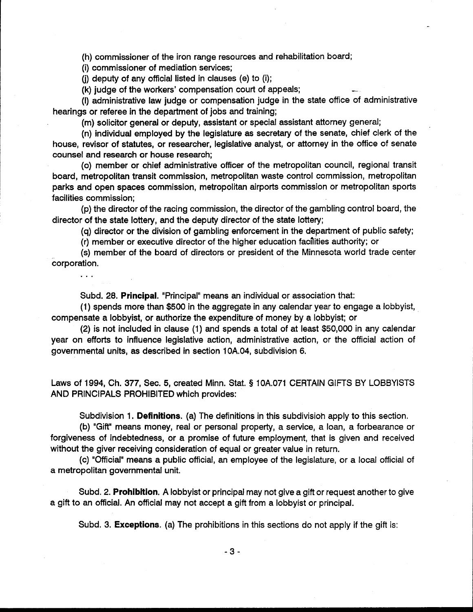(h) commissioner of the iron range resources and rehabilitation board;

(i) commissioner of mediation services;

...

(i) deputy of any official listed in clauses (e) to  $(i)$ ;

(k) judge of the workers' compensation court of appeals;

(I) administrative law judge or compensation judge in the state office of administrative hearings or referee in the department of jobs and training;

(m) solicitor general or deputy, assistant or special assistant attorney general;

(n) individual employed by the legislature as secretary of the senate, chief clerk of the house, revisor of statutes, or researcher, legislative analyst, or attorney in the office of senate counsel and research or house research;

(0) member or chief administrative officer of the metropolitan council, regional transit board, metropolitan transit commission, metropolitan waste control commission, metropolitan parks and open spaces commission, metropolitan airports commission or metropolitan sports facilities commission;

(p) the director of the racing commission, the director of the gambling control board, the director of the state lottery, and the deputy director of the state lottery;

(q) director or the division of gambling enforcement in the department of public safety;

(r) member or executive director of the higher education facilities authority; or

(s) member of the board of directors or president of the Minnesota world trade center corporation.

Subd. 28. **Principal.** "Principal" means an individual or association that:

(1) spends more than \$500 in the aggregate in any calendar year to engage a lobbyist, compensate a lobbyist, or authorize the expenditure of money by a lobbyist; or

(2) is not included in clause (1) and spends a total of at least \$50,000 in any calendar year on efforts to influence legislative action, administrative action, or the official action of governmental units, as described in section 10A.04, subdivision 6.

Laws of 1994, Ch. 377, Sec. 5, created Minn. Stat. § 10A.071 CERTAIN GIFTS BY LOBBYISTS AND PRINCIPALS PROHIBITED which provides:

Subdivision 1. **Definitions.** (a) The definitions in this subdivisioh apply to this section.

(b) "Gift" means money, real or personal property, a service, a loan, a forbearance or forgiveness of indebtedness, or a promise of future employment, that is given and received without the giver receiving consideration of equal or greater value in return.

(c) "Official" means a public official, an employee of the legislature, or a local official of a metropolitan governmental unit.

Subd. 2. **Prohibition.** A lobbyist or principal may not give a gift or request another to give a gift to an official. An official may not accept a gift from a lobbyist or principal.

Subd. 3. **Exceptions.** (a) The prohibitions in this sections do not apply if the gift is: